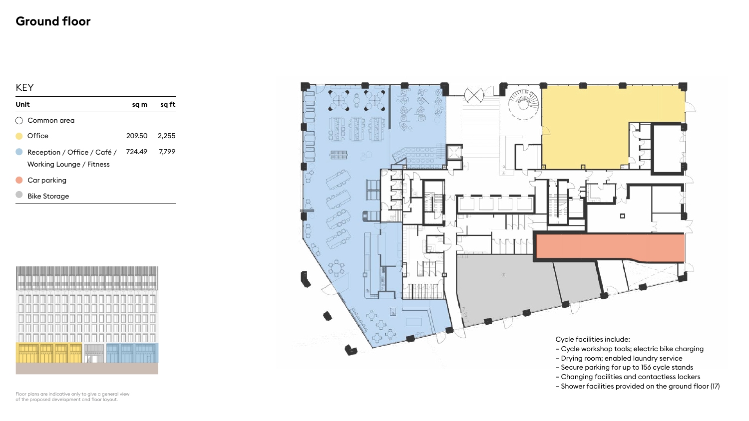

## **Ground floor**

| Unit                                                    | sq m   | sa ft |  |
|---------------------------------------------------------|--------|-------|--|
| Common area                                             |        |       |  |
| Office                                                  | 209.50 | 2,255 |  |
| Reception / Office / Café /<br>Working Lounge / Fitness | 724.49 | 7,799 |  |
| Car parking                                             |        |       |  |
| <b>Bike Storage</b>                                     |        |       |  |

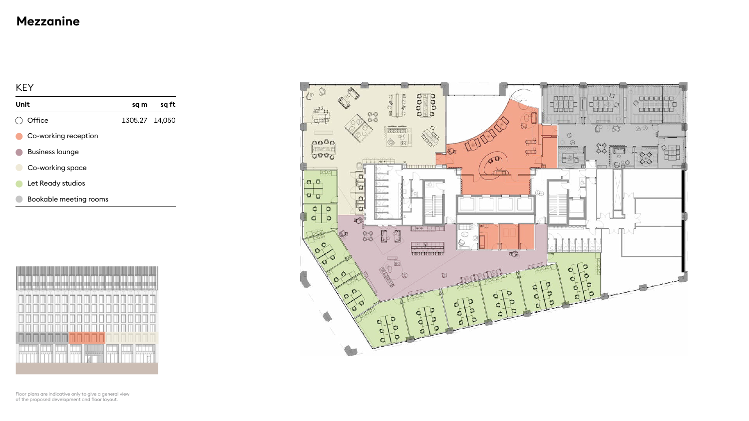

## **Mezzanine**

| Unit                   | sq m           | sq ft |
|------------------------|----------------|-------|
| Office                 | 1305.27 14,050 |       |
| Co-working reception   |                |       |
| <b>Business lounge</b> |                |       |
| Co-working space       |                |       |
| Let Ready studios      |                |       |
| Bookable meeting rooms |                |       |

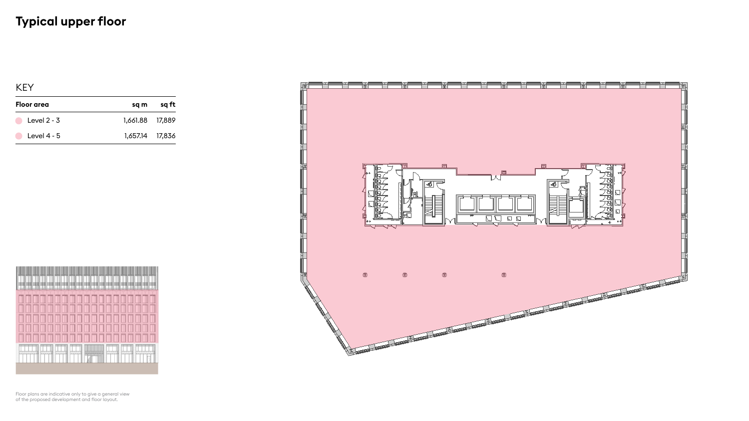



# **Typical upper floor**

| <b>Floor</b> area      | sq m            | sq ft |  |  |
|------------------------|-----------------|-------|--|--|
| $\bigcirc$ Level 2 - 3 | 1,661.88 17,889 |       |  |  |
| $\bullet$ Level 4 - 5  | 1,657.14 17,836 |       |  |  |

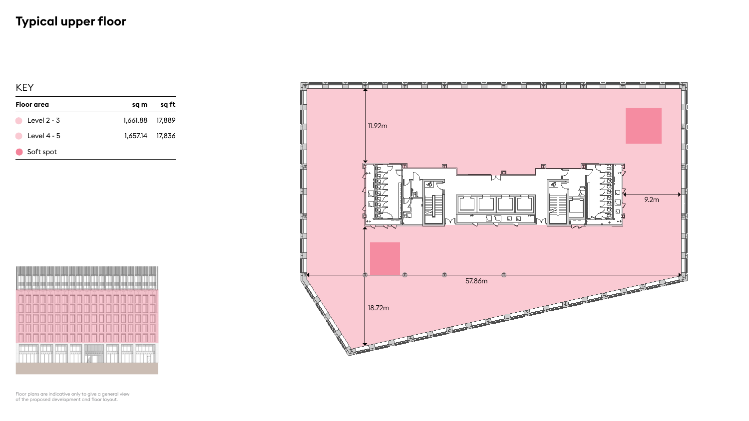

# **Typical upper floor**



| Floor area    | sq m            | sq ft |  |  |
|---------------|-----------------|-------|--|--|
| Level $2 - 3$ | 1,661.88 17,889 |       |  |  |
| Level 4 - 5   | 1,657.14 17,836 |       |  |  |
| Soft spot     |                 |       |  |  |

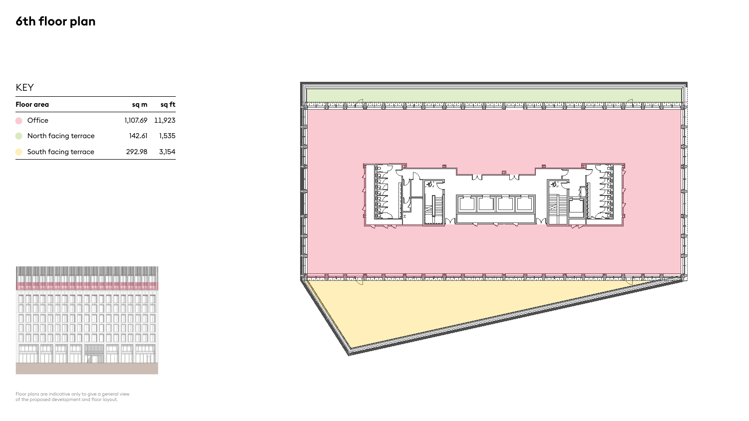





## **6th floor plan**

| Floor area           | sq m            | sq ft |  |  |
|----------------------|-----------------|-------|--|--|
| Office               | 1,107.69 11,923 |       |  |  |
| North facing terrace | 142.61          | 1,535 |  |  |
| South facing terrace | 292.98          | 3,154 |  |  |